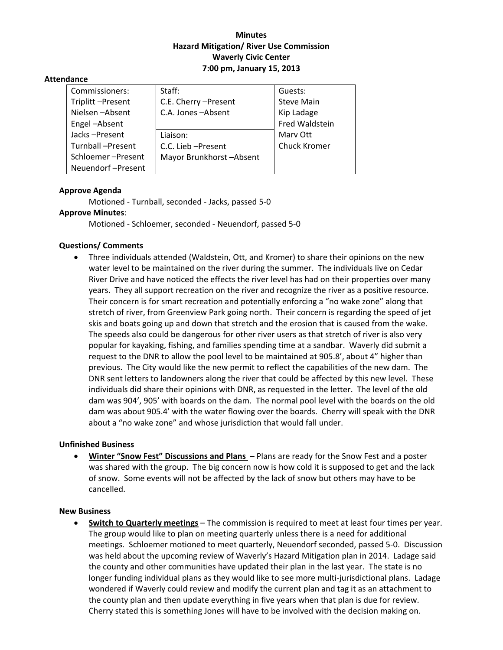## **Minutes Hazard Mitigation/ River Use Commission Waverly Civic Center 7:00 pm, January 15, 2013**

#### **Attendance**

| Commissioners:    | Staff:                  | Guests:             |
|-------------------|-------------------------|---------------------|
| Triplitt-Present  | C.E. Cherry -Present    | <b>Steve Main</b>   |
| Nielsen-Absent    | C.A. Jones-Absent       | Kip Ladage          |
| Engel-Absent      |                         | Fred Waldstein      |
| Jacks-Present     | Liaison:                | Mary Ott            |
| Turnball-Present  | C.C. Lieb - Present     | <b>Chuck Kromer</b> |
| Schloemer-Present | Mayor Brunkhorst-Absent |                     |
| Neuendorf-Present |                         |                     |

## **Approve Agenda**

Motioned ‐ Turnball, seconded ‐ Jacks, passed 5‐0

# **Approve Minutes**:

Motioned ‐ Schloemer, seconded ‐ Neuendorf, passed 5‐0

### **Questions/ Comments**

 Three individuals attended (Waldstein, Ott, and Kromer) to share their opinions on the new water level to be maintained on the river during the summer. The individuals live on Cedar River Drive and have noticed the effects the river level has had on their properties over many years. They all support recreation on the river and recognize the river as a positive resource. Their concern is for smart recreation and potentially enforcing a "no wake zone" along that stretch of river, from Greenview Park going north. Their concern is regarding the speed of jet skis and boats going up and down that stretch and the erosion that is caused from the wake. The speeds also could be dangerous for other river users as that stretch of river is also very popular for kayaking, fishing, and families spending time at a sandbar. Waverly did submit a request to the DNR to allow the pool level to be maintained at 905.8', about 4" higher than previous. The City would like the new permit to reflect the capabilities of the new dam. The DNR sent letters to landowners along the river that could be affected by this new level. These individuals did share their opinions with DNR, as requested in the letter. The level of the old dam was 904', 905' with boards on the dam. The normal pool level with the boards on the old dam was about 905.4' with the water flowing over the boards. Cherry will speak with the DNR about a "no wake zone" and whose jurisdiction that would fall under.

### **Unfinished Business**

 **Winter "Snow Fest" Discussions and Plans** – Plans are ready for the Snow Fest and a poster was shared with the group. The big concern now is how cold it is supposed to get and the lack of snow. Some events will not be affected by the lack of snow but others may have to be cancelled.

### **New Business**

 **Switch to Quarterly meetings** – The commission is required to meet at least four times per year. The group would like to plan on meeting quarterly unless there is a need for additional meetings. Schloemer motioned to meet quarterly, Neuendorf seconded, passed 5‐0. Discussion was held about the upcoming review of Waverly's Hazard Mitigation plan in 2014. Ladage said the county and other communities have updated their plan in the last year. The state is no longer funding individual plans as they would like to see more multi-jurisdictional plans. Ladage wondered if Waverly could review and modify the current plan and tag it as an attachment to the county plan and then update everything in five years when that plan is due for review. Cherry stated this is something Jones will have to be involved with the decision making on.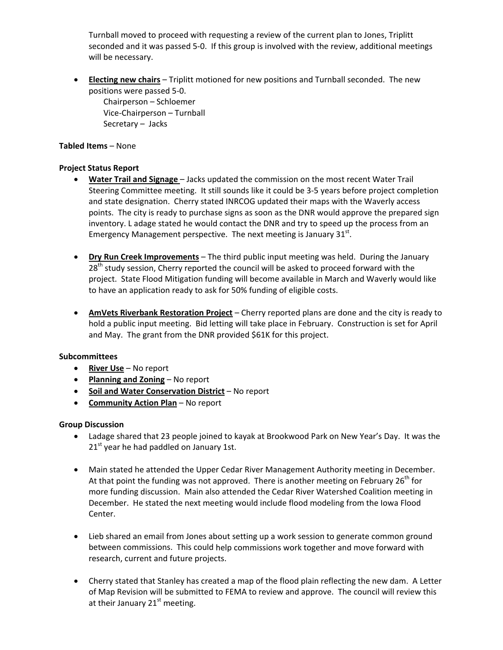Turnball moved to proceed with requesting a review of the current plan to Jones, Triplitt seconded and it was passed 5-0. If this group is involved with the review, additional meetings will be necessary.

 **Electing new chairs** – Triplitt motioned for new positions and Turnball seconded. The new positions were passed 5‐0. Chairperson – Schloemer Vice‐Chairperson – Turnball Secretary – Jacks

### **Tabled Items** – None

## **Project Status Report**

- **Water Trail and Signage** Jacks updated the commission on the most recent Water Trail Steering Committee meeting. It still sounds like it could be 3‐5 years before project completion and state designation. Cherry stated INRCOG updated their maps with the Waverly access points. The city is ready to purchase signs as soon as the DNR would approve the prepared sign inventory. L adage stated he would contact the DNR and try to speed up the process from an Emergency Management perspective. The next meeting is January  $31<sup>st</sup>$ .
- **Dry Run Creek Improvements** The third public input meeting was held. During the January 28<sup>th</sup> study session, Cherry reported the council will be asked to proceed forward with the project. State Flood Mitigation funding will become available in March and Waverly would like to have an application ready to ask for 50% funding of eligible costs.
- **AmVets Riverbank Restoration Project** Cherry reported plans are done and the city is ready to hold a public input meeting. Bid letting will take place in February. Construction is set for April and May. The grant from the DNR provided \$61K for this project.

### **Subcommittees**

- **River Use** No report
- **Planning and Zoning** No report
- **Soil and Water Conservation District** No report
- **Community Action Plan** No report

### **Group Discussion**

- Ladage shared that 23 people joined to kayak at Brookwood Park on New Year's Day. It was the  $21<sup>st</sup>$  year he had paddled on January 1st.
- Main stated he attended the Upper Cedar River Management Authority meeting in December. At that point the funding was not approved. There is another meeting on February  $26^{th}$  for more funding discussion. Main also attended the Cedar River Watershed Coalition meeting in December. He stated the next meeting would include flood modeling from the Iowa Flood Center.
- Lieb shared an email from Jones about setting up a work session to generate common ground between commissions. This could help commissions work together and move forward with research, current and future projects.
- Cherry stated that Stanley has created a map of the flood plain reflecting the new dam. A Letter of Map Revision will be submitted to FEMA to review and approve. The council will review this at their January  $21<sup>st</sup>$  meeting.